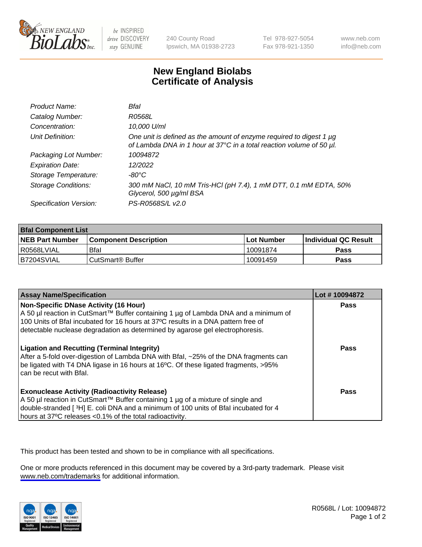

be INSPIRED drive DISCOVERY stay GENUINE

240 County Road Ipswich, MA 01938-2723 Tel 978-927-5054 Fax 978-921-1350

www.neb.com info@neb.com

## **New England Biolabs Certificate of Analysis**

| Product Name:           | Bfal                                                                                                                                             |
|-------------------------|--------------------------------------------------------------------------------------------------------------------------------------------------|
| Catalog Number:         | R0568L                                                                                                                                           |
| Concentration:          | 10,000 U/ml                                                                                                                                      |
| Unit Definition:        | One unit is defined as the amount of enzyme required to digest 1 $\mu$ g<br>of Lambda DNA in 1 hour at 37°C in a total reaction volume of 50 µl. |
| Packaging Lot Number:   | 10094872                                                                                                                                         |
| <b>Expiration Date:</b> | 12/2022                                                                                                                                          |
| Storage Temperature:    | -80°C                                                                                                                                            |
| Storage Conditions:     | 300 mM NaCl, 10 mM Tris-HCl (pH 7.4), 1 mM DTT, 0.1 mM EDTA, 50%<br>Glycerol, 500 µg/ml BSA                                                      |
| Specification Version:  | PS-R0568S/L v2.0                                                                                                                                 |

| <b>Bral Component List</b> |                              |              |                             |  |
|----------------------------|------------------------------|--------------|-----------------------------|--|
| <b>NEB Part Number</b>     | <b>Component Description</b> | l Lot Number | <b>Individual QC Result</b> |  |
| R0568LVIAL                 | Bfal                         | 10091874     | <b>Pass</b>                 |  |
| B7204SVIAL                 | CutSmart <sup>®</sup> Buffer | 10091459     | Pass                        |  |

| <b>Assay Name/Specification</b>                                                                                                                                                                                                                                                                           | Lot #10094872 |
|-----------------------------------------------------------------------------------------------------------------------------------------------------------------------------------------------------------------------------------------------------------------------------------------------------------|---------------|
| <b>Non-Specific DNase Activity (16 Hour)</b><br>A 50 µl reaction in CutSmart™ Buffer containing 1 µg of Lambda DNA and a minimum of<br>100 Units of Bfal incubated for 16 hours at 37°C results in a DNA pattern free of<br>detectable nuclease degradation as determined by agarose gel electrophoresis. | Pass          |
| <b>Ligation and Recutting (Terminal Integrity)</b><br>After a 5-fold over-digestion of Lambda DNA with Bfal, ~25% of the DNA fragments can<br>be ligated with T4 DNA ligase in 16 hours at 16°C. Of these ligated fragments, >95%<br>can be recut with Bfal.                                              | Pass          |
| <b>Exonuclease Activity (Radioactivity Release)</b><br>A 50 µl reaction in CutSmart™ Buffer containing 1 µg of a mixture of single and<br>double-stranded [3H] E. coli DNA and a minimum of 100 units of Bfal incubated for 4<br>hours at 37°C releases <0.1% of the total radioactivity.                 | Pass          |

This product has been tested and shown to be in compliance with all specifications.

One or more products referenced in this document may be covered by a 3rd-party trademark. Please visit <www.neb.com/trademarks>for additional information.